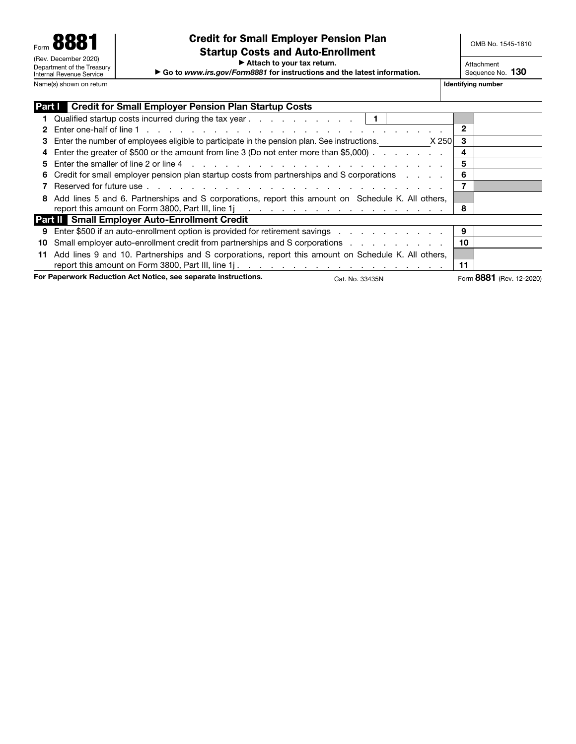$\blacktriangleright$  Attach to your tax return.

▶ Go to www.irs.gov/Form8881 for instructions and the latest information.

Attachment Sequence No. 130

|                                                                                   | <b>Part Credit for Small Employer Pension Plan Startup Costs</b>                                         |                          |
|-----------------------------------------------------------------------------------|----------------------------------------------------------------------------------------------------------|--------------------------|
|                                                                                   | 1 Qualified startup costs incurred during the tax year $\ldots$ , $\ldots$ , $\ldots$ , $\vert 1 \vert$  |                          |
|                                                                                   |                                                                                                          | 2                        |
|                                                                                   | 3 Enter the number of employees eligible to participate in the pension plan. See instructions.<br>X 2501 | 3                        |
|                                                                                   | 4 Enter the greater of \$500 or the amount from line 3 (Do not enter more than \$5,000).                 | 4                        |
| 5.                                                                                |                                                                                                          | 5                        |
|                                                                                   | 6 Credit for small employer pension plan startup costs from partnerships and S corporations              | 6                        |
|                                                                                   |                                                                                                          |                          |
|                                                                                   | 8 Add lines 5 and 6. Partnerships and S corporations, report this amount on Schedule K. All others,      |                          |
|                                                                                   |                                                                                                          | 8                        |
|                                                                                   | <b>Part II</b> Small Employer Auto-Enrollment Credit                                                     |                          |
|                                                                                   | 9 Enter \$500 if an auto-enrollment option is provided for retirement savings                            | 9                        |
|                                                                                   | 10 Small employer auto-enrollment credit from partnerships and S corporations                            | 10                       |
| 11                                                                                | Add lines 9 and 10. Partnerships and S corporations, report this amount on Schedule K. All others,       |                          |
|                                                                                   |                                                                                                          | 11                       |
| For Paperwork Reduction Act Notice, see separate instructions.<br>Cat. No. 33435N |                                                                                                          | Form 8881 (Rev. 12-2020) |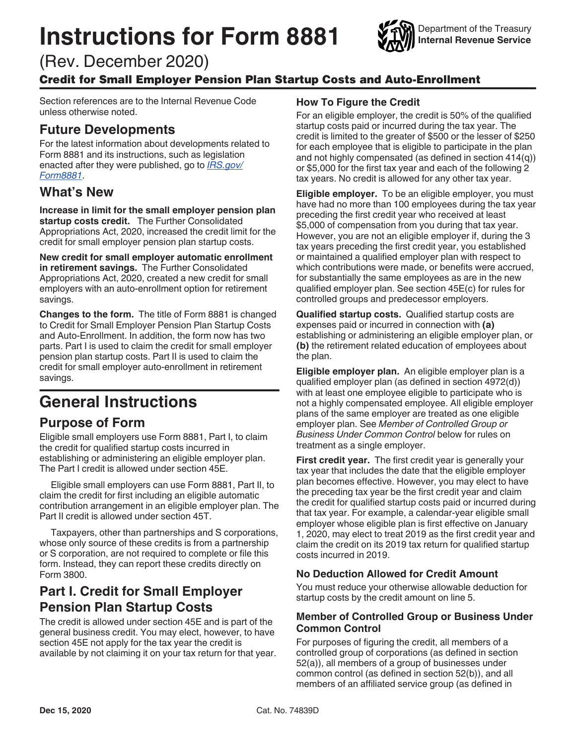# Instructions for Form 8881



(Rev. December 2020)

### Credit for Small Employer Pension Plan Startup Costs and Auto-Enrollment

Section references are to the Internal Revenue Code unless otherwise noted.

# Future Developments

For the latest information about developments related to Form 8881 and its instructions, such as legislation enacted after they were published, go to **IRS.gov**/ [Form8881](https://www.irs.gov/forms-pubs/about-form-8881).

# What's New

Increase in limit for the small employer pension plan startup costs credit. The Further Consolidated Appropriations Act, 2020, increased the credit limit for the credit for small employer pension plan startup costs.

New credit for small employer automatic enrollment in retirement savings. The Further Consolidated Appropriations Act, 2020, created a new credit for small employers with an auto-enrollment option for retirement savings.

Changes to the form. The title of Form 8881 is changed to Credit for Small Employer Pension Plan Startup Costs and Auto-Enrollment. In addition, the form now has two parts. Part I is used to claim the credit for small employer pension plan startup costs. Part II is used to claim the credit for small employer auto-enrollment in retirement savings.

# General Instructions

# Purpose of Form

Eligible small employers use Form 8881, Part I, to claim the credit for qualified startup costs incurred in establishing or administering an eligible employer plan. The Part I credit is allowed under section 45E.

Eligible small employers can use Form 8881, Part II, to claim the credit for first including an eligible automatic contribution arrangement in an eligible employer plan. The Part II credit is allowed under section 45T.

Taxpayers, other than partnerships and S corporations, whose only source of these credits is from a partnership or S corporation, are not required to complete or file this form. Instead, they can report these credits directly on Form 3800.

# Part I. Credit for Small Employer Pension Plan Startup Costs

The credit is allowed under section 45E and is part of the general business credit. You may elect, however, to have section 45E not apply for the tax year the credit is available by not claiming it on your tax return for that year.

#### How To Figure the Credit

For an eligible employer, the credit is 50% of the qualified startup costs paid or incurred during the tax year. The credit is limited to the greater of \$500 or the lesser of \$250 for each employee that is eligible to participate in the plan and not highly compensated (as defined in section 414(q)) or \$5,000 for the first tax year and each of the following 2 tax years. No credit is allowed for any other tax year.

**Eligible employer.** To be an eligible employer, you must have had no more than 100 employees during the tax year preceding the first credit year who received at least \$5,000 of compensation from you during that tax year. However, you are not an eligible employer if, during the 3 tax years preceding the first credit year, you established or maintained a qualified employer plan with respect to which contributions were made, or benefits were accrued, for substantially the same employees as are in the new qualified employer plan. See section 45E(c) for rules for controlled groups and predecessor employers.

Qualified startup costs. Qualified startup costs are expenses paid or incurred in connection with (a) establishing or administering an eligible employer plan, or (b) the retirement related education of employees about the plan.

Eligible employer plan. An eligible employer plan is a qualified employer plan (as defined in section 4972(d)) with at least one employee eligible to participate who is not a highly compensated employee. All eligible employer plans of the same employer are treated as one eligible employer plan. See Member of Controlled Group or Business Under Common Control below for rules on treatment as a single employer.

First credit year. The first credit year is generally your tax year that includes the date that the eligible employer plan becomes effective. However, you may elect to have the preceding tax year be the first credit year and claim the credit for qualified startup costs paid or incurred during that tax year. For example, a calendar-year eligible small employer whose eligible plan is first effective on January 1, 2020, may elect to treat 2019 as the first credit year and claim the credit on its 2019 tax return for qualified startup costs incurred in 2019.

#### No Deduction Allowed for Credit Amount

You must reduce your otherwise allowable deduction for startup costs by the credit amount on line 5.

#### Member of Controlled Group or Business Under Common Control

For purposes of figuring the credit, all members of a controlled group of corporations (as defined in section 52(a)), all members of a group of businesses under common control (as defined in section 52(b)), and all members of an affiliated service group (as defined in